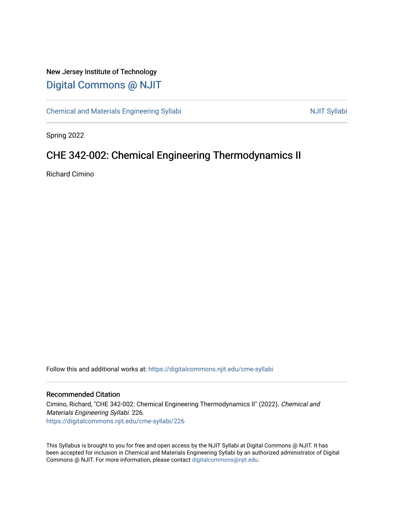### New Jersey Institute of Technology [Digital Commons @ NJIT](https://digitalcommons.njit.edu/)

[Chemical and Materials Engineering Syllabi](https://digitalcommons.njit.edu/cme-syllabi) Nulle and Syllabi Nulle Syllabi Nulle Syllabi Nulle Syllabi Nulle Syllabi

Spring 2022

## CHE 342-002: Chemical Engineering Thermodynamics II

Richard Cimino

Follow this and additional works at: [https://digitalcommons.njit.edu/cme-syllabi](https://digitalcommons.njit.edu/cme-syllabi?utm_source=digitalcommons.njit.edu%2Fcme-syllabi%2F226&utm_medium=PDF&utm_campaign=PDFCoverPages) 

#### Recommended Citation

Cimino, Richard, "CHE 342-002: Chemical Engineering Thermodynamics II" (2022). Chemical and Materials Engineering Syllabi. 226. [https://digitalcommons.njit.edu/cme-syllabi/226](https://digitalcommons.njit.edu/cme-syllabi/226?utm_source=digitalcommons.njit.edu%2Fcme-syllabi%2F226&utm_medium=PDF&utm_campaign=PDFCoverPages) 

This Syllabus is brought to you for free and open access by the NJIT Syllabi at Digital Commons @ NJIT. It has been accepted for inclusion in Chemical and Materials Engineering Syllabi by an authorized administrator of Digital Commons @ NJIT. For more information, please contact [digitalcommons@njit.edu.](mailto:digitalcommons@njit.edu)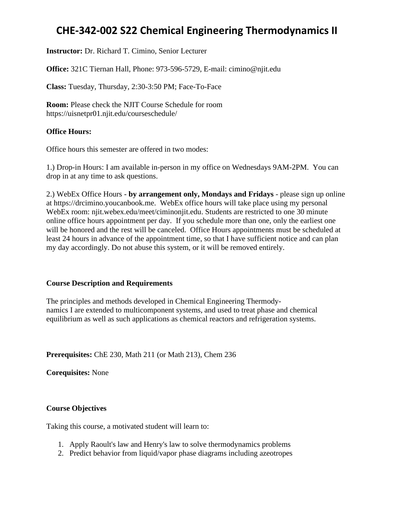**Instructor:** Dr. Richard T. Cimino, Senior Lecturer

**Office:** 321C Tiernan Hall, Phone: 973-596-5729, E-mail: cimino@njit.edu

**Class:** Tuesday, Thursday, 2:30-3:50 PM; Face-To-Face

**Room:** Please check the NJIT Course Schedule for room https://uisnetpr01.njit.edu/courseschedule/

### **Office Hours:**

Office hours this semester are offered in two modes:

1.) Drop-in Hours: I am available in-person in my office on Wednesdays 9AM-2PM. You can drop in at any time to ask questions.

2.) WebEx Office Hours - **by arrangement only, Mondays and Fridays** - please sign up online at https://drcimino.youcanbook.me. WebEx office hours will take place using my personal WebEx room: njit.webex.edu/meet/ciminonjit.edu. Students are restricted to one 30 minute online office hours appointment per day. If you schedule more than one, only the earliest one will be honored and the rest will be canceled. Office Hours appointments must be scheduled at least 24 hours in advance of the appointment time, so that I have sufficient notice and can plan my day accordingly. Do not abuse this system, or it will be removed entirely.

### **Course Description and Requirements**

The principles and methods developed in Chemical Engineering Thermodynamics I are extended to multicomponent systems, and used to treat phase and chemical equilibrium as well as such applications as chemical reactors and refrigeration systems.

**Prerequisites:** ChE 230, Math 211 (or Math 213), Chem 236

**Corequisites:** None

### **Course Objectives**

Taking this course, a motivated student will learn to:

- 1. Apply Raoult's law and Henry's law to solve thermodynamics problems
- 2. Predict behavior from liquid/vapor phase diagrams including azeotropes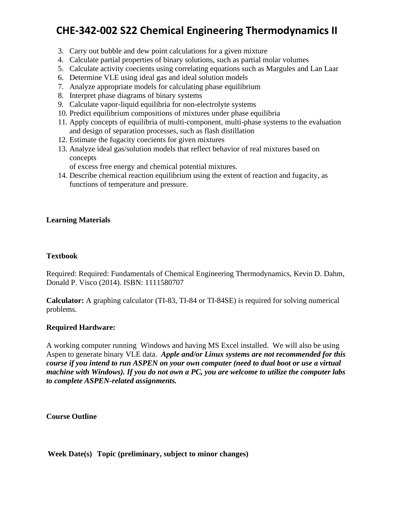- 3. Carry out bubble and dew point calculations for a given mixture
- 4. Calculate partial properties of binary solutions, such as partial molar volumes
- 5. Calculate activity coecients using correlating equations such as Margules and Lan Laar
- 6. Determine VLE using ideal gas and ideal solution models
- 7. Analyze appropriate models for calculating phase equilibrium
- 8. Interpret phase diagrams of binary systems
- 9. Calculate vapor-liquid equilibria for non-electrolyte systems
- 10. Predict equilibrium compositions of mixtures under phase equilibria
- 11. Apply concepts of equilibria of multi-component, multi-phase systems to the evaluation and design of separation processes, such as flash distillation
- 12. Estimate the fugacity coecients for given mixtures
- 13. Analyze ideal gas/solution models that reflect behavior of real mixtures based on concepts

of excess free energy and chemical potential mixtures.

14. Describe chemical reaction equilibrium using the extent of reaction and fugacity, as functions of temperature and pressure.

### **Learning Materials**

### **Textbook**

Required: Required: Fundamentals of Chemical Engineering Thermodynamics, Kevin D. Dahm, Donald P. Visco (2014). ISBN: 1111580707

**Calculator:** A graphing calculator (TI-83, TI-84 or TI-84SE) is required for solving numerical problems.

### **Required Hardware:**

A working computer running Windows and having MS Excel installed. We will also be using Aspen to generate binary VLE data. *Apple and/or Linux systems are not recommended for this course if you intend to run ASPEN on your own computer (need to dual boot or use a virtual machine with Windows). If you do not own a PC, you are welcome to utilize the computer labs to complete ASPEN-related assignments.*

**Course Outline**

### **Week Date(s) Topic (preliminary, subject to minor changes)**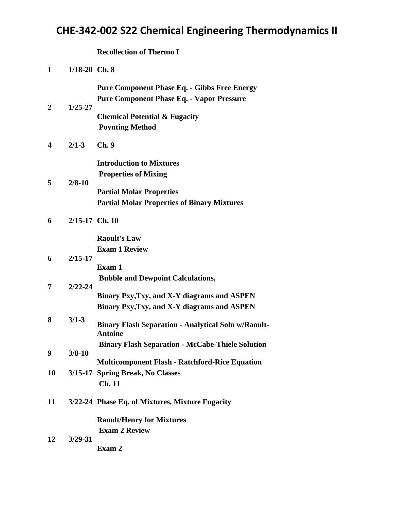**Recollection of Thermo I** 

| 1  | $1/18-20$ Ch. 8 |                                                                                                                                        |
|----|-----------------|----------------------------------------------------------------------------------------------------------------------------------------|
| 2  | $1/25 - 27$     | <b>Pure Component Phase Eq. - Gibbs Free Energy</b><br><b>Pure Component Phase Eq. - Vapor Pressure</b>                                |
|    |                 | <b>Chemical Potential &amp; Fugacity</b><br><b>Poynting Method</b>                                                                     |
| 4  | $2/1 - 3$       | Ch.9                                                                                                                                   |
| 5  | $2/8 - 10$      | <b>Introduction to Mixtures</b><br><b>Properties of Mixing</b>                                                                         |
|    |                 | <b>Partial Molar Properties</b><br><b>Partial Molar Properties of Binary Mixtures</b>                                                  |
| 6  | 2/15-17 Ch. 10  |                                                                                                                                        |
|    |                 | <b>Raoult's Law</b><br><b>Exam 1 Review</b>                                                                                            |
| 6  | $2/15 - 17$     | Exam 1                                                                                                                                 |
| 7  | $2/22 - 24$     | <b>Bubble and Dewpoint Calculations,</b><br>Binary Pxy, Txy, and X-Y diagrams and ASPEN<br>Binary Pxy, Txy, and X-Y diagrams and ASPEN |
| 8  | $3/1 - 3$       | <b>Binary Flash Separation - Analytical Soln w/Raoult-</b><br><b>Antoine</b>                                                           |
| 9  | $3/8 - 10$      | <b>Binary Flash Separation - McCabe-Thiele Solution</b><br><b>Multicomponent Flash - Ratchford-Rice Equation</b>                       |
| 10 |                 | 3/15-17 Spring Break, No Classes<br>Ch. 11                                                                                             |
| 11 |                 | 3/22-24 Phase Eq. of Mixtures, Mixture Fugacity                                                                                        |
|    |                 | <b>Raoult/Henry for Mixtures</b><br><b>Exam 2 Review</b>                                                                               |
| 12 | $3/29 - 31$     | Exam 2                                                                                                                                 |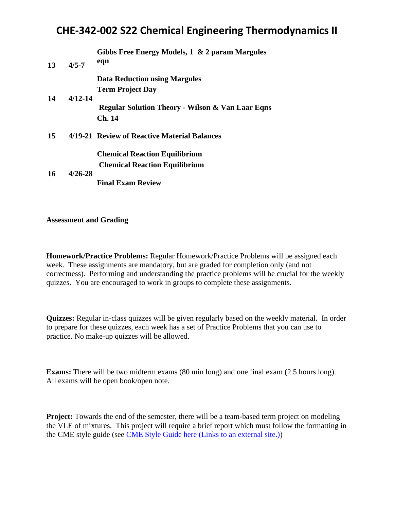| 13        | $4/5 - 7$   | Gibbs Free Energy Models, 1 & 2 param Margules<br>eqn       |
|-----------|-------------|-------------------------------------------------------------|
|           |             | <b>Data Reduction using Margules</b>                        |
|           |             | <b>Term Project Day</b>                                     |
| 14        | $4/12 - 14$ |                                                             |
|           |             | <b>Regular Solution Theory - Wilson &amp; Van Laar Eqns</b> |
|           |             | <b>Ch.</b> 14                                               |
| 15        |             | 4/19-21 Review of Reactive Material Balances                |
|           |             | <b>Chemical Reaction Equilibrium</b>                        |
|           |             | <b>Chemical Reaction Equilibrium</b>                        |
| <b>16</b> | $4/26 - 28$ |                                                             |
|           |             | <b>Final Exam Review</b>                                    |

### **Assessment and Grading**

**Homework/Practice Problems:** Regular Homework/Practice Problems will be assigned each week. These assignments are mandatory, but are graded for completion only (and not correctness). Performing and understanding the practice problems will be crucial for the weekly quizzes. You are encouraged to work in groups to complete these assignments.

**Quizzes:** Regular in-class quizzes will be given regularly based on the weekly material. In order to prepare for these quizzes, each week has a set of Practice Problems that you can use to practice. No make-up quizzes will be allowed.

**Exams:** There will be two midterm exams (80 min long) and one final exam (2.5 hours long). All exams will be open book/open note.

**Project:** Towards the end of the semester, there will be a team-based term project on modeling the VLE of mixtures. This project will require a brief report which must follow the formatting in the CME style guide (see CME Style Guide here [\(Links to an external site.\)\)](https://docs.google.com/document/d/15on8ZxDOb3reCRuflVveNMj3nQlpgegv7mvw8aPtvDU/edit)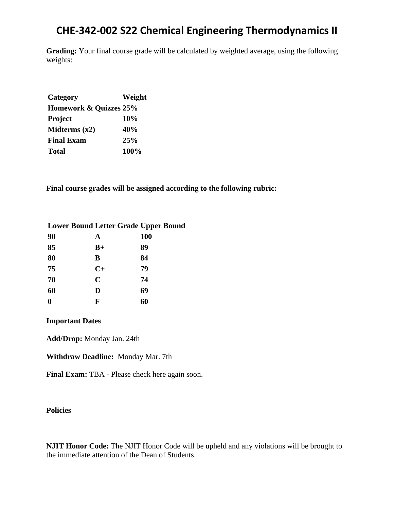**Grading:** Your final course grade will be calculated by weighted average, using the following weights:

| Category               | Weight |
|------------------------|--------|
| Homework & Quizzes 25% |        |
| Project                | 10%    |
| Midterms $(x2)$        | 40%    |
| <b>Final Exam</b>      | 25%    |
| <b>Total</b>           | 100%   |

**Final course grades will be assigned according to the following rubric:**

| <b>Lower Bound Letter Grade Upper Bound</b> |             |            |
|---------------------------------------------|-------------|------------|
| 90                                          | A           | <b>100</b> |
| 85                                          | $B+$        | 89         |
| 80                                          | B           | 84         |
| 75                                          | $C+$        | 79         |
| 70                                          | $\mathbf C$ | 74         |
| 60                                          | D           | 69         |
|                                             | F           | 60         |

### **Important Dates**

**Add/Drop:** Monday Jan. 24th

**Withdraw Deadline:** Monday Mar. 7th

**Final Exam:** TBA - Please check here again soon.

### **Policies**

**NJIT Honor Code:** The NJIT Honor Code will be upheld and any violations will be brought to the immediate attention of the Dean of Students.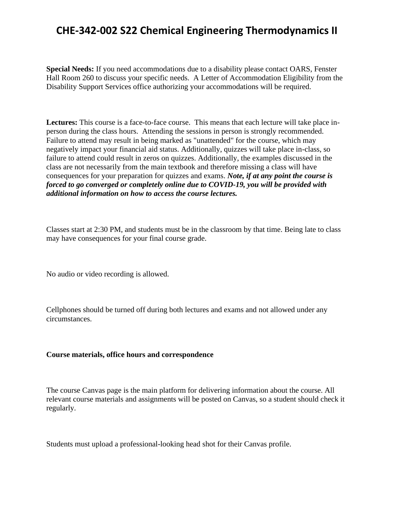**Special Needs:** If you need accommodations due to a disability please contact OARS, Fenster Hall Room 260 to discuss your specific needs. A Letter of Accommodation Eligibility from the Disability Support Services office authorizing your accommodations will be required.

**Lectures:** This course is a face-to-face course. This means that each lecture will take place inperson during the class hours. Attending the sessions in person is strongly recommended. Failure to attend may result in being marked as "unattended" for the course, which may negatively impact your financial aid status. Additionally, quizzes will take place in-class, so failure to attend could result in zeros on quizzes. Additionally, the examples discussed in the class are not necessarily from the main textbook and therefore missing a class will have consequences for your preparation for quizzes and exams. *Note, if at any point the course is forced to go converged or completely online due to COVID-19, you will be provided with additional information on how to access the course lectures.*

Classes start at 2:30 PM, and students must be in the classroom by that time. Being late to class may have consequences for your final course grade.

No audio or video recording is allowed.

Cellphones should be turned off during both lectures and exams and not allowed under any circumstances.

### **Course materials, office hours and correspondence**

The course Canvas page is the main platform for delivering information about the course. All relevant course materials and assignments will be posted on Canvas, so a student should check it regularly.

Students must upload a professional-looking head shot for their Canvas profile.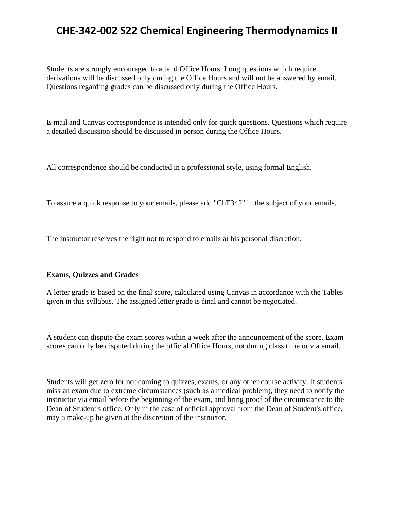Students are strongly encouraged to attend Office Hours. Long questions which require derivations will be discussed only during the Office Hours and will not be answered by email. Questions regarding grades can be discussed only during the Office Hours.

E-mail and Canvas correspondence is intended only for quick questions. Questions which require a detailed discussion should be discussed in person during the Office Hours.

All correspondence should be conducted in a professional style, using formal English.

To assure a quick response to your emails, please add "ChE342'' in the subject of your emails.

The instructor reserves the right not to respond to emails at his personal discretion.

### **Exams, Quizzes and Grades**

A letter grade is based on the final score, calculated using Canvas in accordance with the Tables given in this syllabus. The assigned letter grade is final and cannot be negotiated.

A student can dispute the exam scores within a week after the announcement of the score. Exam scores can only be disputed during the official Office Hours, not during class time or via email.

Students will get zero for not coming to quizzes, exams, or any other course activity. If students miss an exam due to extreme circumstances (such as a medical problem), they need to notify the instructor via email before the beginning of the exam, and bring proof of the circumstance to the Dean of Student's office. Only in the case of official approval from the Dean of Student's office, may a make-up be given at the discretion of the instructor.